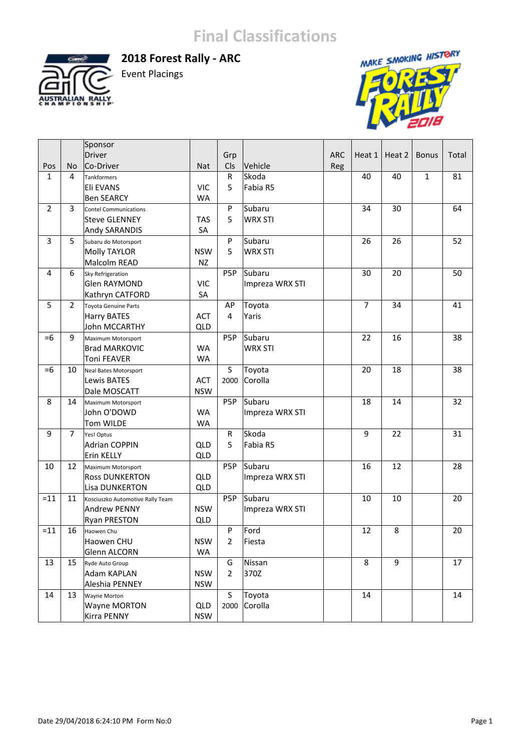

**2018 Forest Rally ‐ ARC**  Event Placings



|                |                | Sponsor                          |            |                |                 |            |                |        |              |       |
|----------------|----------------|----------------------------------|------------|----------------|-----------------|------------|----------------|--------|--------------|-------|
|                |                | Driver                           |            | Grp            |                 | <b>ARC</b> | Heat 1         | Heat 2 | <b>Bonus</b> | Total |
| Pos            | No             | Co-Driver                        | <b>Nat</b> | Cls            | Vehicle         | Reg        |                |        |              |       |
| $\mathbf{1}$   | 4              | <b>Tankformers</b>               |            | R              | Skoda           |            | 40             | 40     | $\mathbf{1}$ | 81    |
|                |                | Eli EVANS                        | <b>VIC</b> | 5              | Fabia R5        |            |                |        |              |       |
|                |                | <b>Ben SEARCY</b>                | <b>WA</b>  |                |                 |            |                |        |              |       |
| $\overline{2}$ | 3              | <b>Contel Communications</b>     |            | P              | Subaru          |            | 34             | 30     |              | 64    |
|                |                | <b>Steve GLENNEY</b>             | <b>TAS</b> | 5              | <b>WRX STI</b>  |            |                |        |              |       |
|                |                | Andy SARANDIS                    | SA         |                |                 |            |                |        |              |       |
| 3              | 5              | Subaru do Motorsport             |            | P              | Subaru          |            | 26             | 26     |              | 52    |
|                |                | Molly TAYLOR                     | <b>NSW</b> | 5              | <b>WRX STI</b>  |            |                |        |              |       |
|                |                | Malcolm READ                     | <b>NZ</b>  |                |                 |            |                |        |              |       |
| $\overline{4}$ | 6              | Sky Refrigeration                |            | P5P            | Subaru          |            | 30             | 20     |              | 50    |
|                |                | Glen RAYMOND                     | <b>VIC</b> |                | Impreza WRX STI |            |                |        |              |       |
|                |                | Kathryn CATFORD                  | SA         |                |                 |            |                |        |              |       |
| 5              | $\overline{2}$ | <b>Toyota Genuine Parts</b>      |            | AP             | Toyota          |            | $\overline{7}$ | 34     |              | 41    |
|                |                | <b>Harry BATES</b>               | <b>ACT</b> | 4              | Yaris           |            |                |        |              |       |
|                |                | John MCCARTHY                    | <b>QLD</b> |                |                 |            |                |        |              |       |
| $=6$           | 9              | Maximum Motorsport               |            | P5P            | Subaru          |            | 22             | 16     |              | 38    |
|                |                | <b>Brad MARKOVIC</b>             | <b>WA</b>  |                | <b>WRX STI</b>  |            |                |        |              |       |
|                |                | <b>Toni FEAVER</b>               | <b>WA</b>  |                |                 |            |                |        |              |       |
| $=6$           | 10             | Neal Bates Motorsport            |            | S              | Toyota          |            | 20             | 18     |              | 38    |
|                |                | Lewis BATES                      | <b>ACT</b> | 2000           | Corolla         |            |                |        |              |       |
|                |                | Dale MOSCATT                     | <b>NSW</b> |                |                 |            |                |        |              |       |
| 8              | 14             | Maximum Motorsport               |            | P5P            | Subaru          |            | 18             | 14     |              | 32    |
|                |                | John O'DOWD                      | <b>WA</b>  |                | Impreza WRX STI |            |                |        |              |       |
|                |                | Tom WILDE                        | <b>WA</b>  |                |                 |            |                |        |              |       |
| 9              | $\overline{7}$ | Yes! Optus                       |            | R              | Skoda           |            | 9              | 22     |              | 31    |
|                |                | <b>Adrian COPPIN</b>             | QLD        | 5              | Fabia R5        |            |                |        |              |       |
|                |                | Erin KELLY                       | <b>QLD</b> |                |                 |            |                |        |              |       |
| 10             | 12             | Maximum Motorsport               |            | P5P            | Subaru          |            | 16             | 12     |              | 28    |
|                |                | <b>Ross DUNKERTON</b>            | <b>QLD</b> |                | Impreza WRX STI |            |                |        |              |       |
|                |                | Lisa DUNKERTON                   | <b>QLD</b> |                |                 |            |                |        |              |       |
| $=11$          | 11             | Kosciuszko Automotive Rally Team |            | P5P            | Subaru          |            | 10             | 10     |              | 20    |
|                |                | Andrew PENNY                     | <b>NSW</b> |                | Impreza WRX STI |            |                |        |              |       |
|                |                | <b>Ryan PRESTON</b>              | <b>QLD</b> |                |                 |            |                |        |              |       |
| $=11$          | 16             | Haowen Chu                       |            | P              | Ford            |            | 12             | 8      |              | 20    |
|                |                | Haowen CHU                       | <b>NSW</b> | $\overline{2}$ | Fiesta          |            |                |        |              |       |
|                |                | Glenn ALCORN                     | WA         |                |                 |            |                |        |              |       |
| 13             | 15             | Ryde Auto Group                  |            | G              | Nissan          |            | 8              | 9      |              | 17    |
|                |                | Adam KAPLAN                      | <b>NSW</b> | $\overline{2}$ | 370Z            |            |                |        |              |       |
|                |                | Aleshia PENNEY                   | <b>NSW</b> |                |                 |            |                |        |              |       |
| 14             | 13             | Wayne Morton                     |            | S              | Toyota          |            | 14             |        |              | 14    |
|                |                | Wayne MORTON                     | QLD        | 2000           | Corolla         |            |                |        |              |       |
|                |                | Kirra PENNY                      | <b>NSW</b> |                |                 |            |                |        |              |       |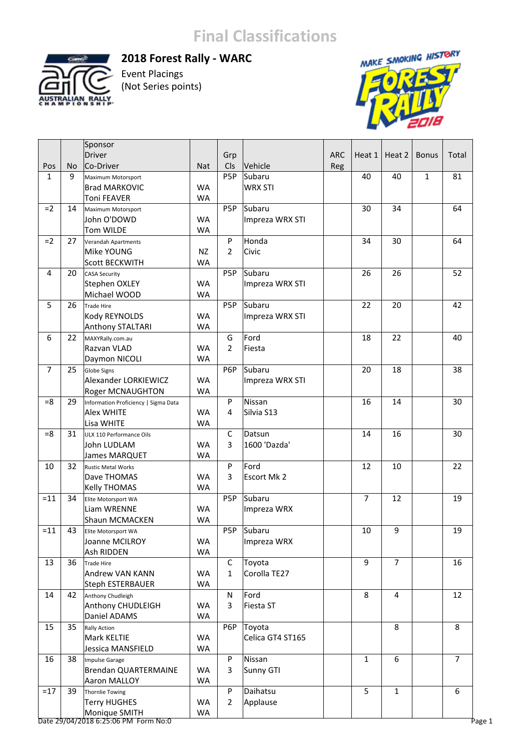

#### **2018 Forest Rally ‐ WARC**

Event Placings (Not Series points)



|                |    | Sponsor                              |            |                  |                  |            |                |                |              |                |
|----------------|----|--------------------------------------|------------|------------------|------------------|------------|----------------|----------------|--------------|----------------|
|                |    | Driver                               |            | Grp              |                  | <b>ARC</b> | Heat 1         | Heat 2         | <b>Bonus</b> | Total          |
| Pos            | No | Co-Driver                            | <b>Nat</b> | <b>CIs</b>       | Vehicle          | Reg        |                |                |              |                |
| $\mathbf{1}$   | 9  | Maximum Motorsport                   |            | P5P              | Subaru           |            | 40             | 40             | $\mathbf{1}$ | 81             |
|                |    | <b>Brad MARKOVIC</b>                 | <b>WA</b>  |                  | <b>WRX STI</b>   |            |                |                |              |                |
|                |    | <b>Toni FEAVER</b>                   | <b>WA</b>  |                  |                  |            |                |                |              |                |
| $=2$           | 14 | Maximum Motorsport                   |            | P5P              | Subaru           |            | 30             | 34             |              | 64             |
|                |    | John O'DOWD                          | <b>WA</b>  |                  | Impreza WRX STI  |            |                |                |              |                |
|                |    | Tom WILDE                            | <b>WA</b>  |                  |                  |            |                |                |              |                |
| $=2$           | 27 | Verandah Apartments                  |            | P                | Honda            |            | 34             | 30             |              | 64             |
|                |    | Mike YOUNG                           | <b>NZ</b>  | $\overline{2}$   | Civic            |            |                |                |              |                |
|                |    | <b>Scott BECKWITH</b>                | <b>WA</b>  |                  |                  |            |                |                |              |                |
| 4              | 20 | <b>CASA Security</b>                 |            | P5P              | Subaru           |            | 26             | 26             |              | 52             |
|                |    | Stephen OXLEY                        | <b>WA</b>  |                  | Impreza WRX STI  |            |                |                |              |                |
|                |    | Michael WOOD                         | <b>WA</b>  |                  |                  |            |                |                |              |                |
| 5              | 26 | Trade Hire                           |            | P5P              | Subaru           |            | 22             | 20             |              | 42             |
|                |    | Kody REYNOLDS                        | <b>WA</b>  |                  | Impreza WRX STI  |            |                |                |              |                |
|                |    | Anthony STALTARI                     | <b>WA</b>  |                  |                  |            |                |                |              |                |
| 6              | 22 |                                      |            | G                | Ford             |            | 18             | 22             |              | 40             |
|                |    | MAXYRally.com.au                     | <b>WA</b>  | $\overline{2}$   | Fiesta           |            |                |                |              |                |
|                |    | Razvan VLAD                          |            |                  |                  |            |                |                |              |                |
| $\overline{7}$ | 25 | Daymon NICOLI                        | <b>WA</b>  | P6P              | Subaru           |            | 20             | 18             |              | 38             |
|                |    | <b>Globe Signs</b>                   |            |                  |                  |            |                |                |              |                |
|                |    | Alexander LORKIEWICZ                 | <b>WA</b>  |                  | Impreza WRX STI  |            |                |                |              |                |
|                |    | <b>Roger MCNAUGHTON</b>              | <b>WA</b>  |                  |                  |            |                |                |              |                |
| $= 8$          | 29 | Information Proficiency   Sigma Data |            | P                | Nissan           |            | 16             | 14             |              | 30             |
|                |    | <b>Alex WHITE</b>                    | <b>WA</b>  | 4                | Silvia S13       |            |                |                |              |                |
|                |    | Lisa WHITE                           | <b>WA</b>  |                  |                  |            |                |                |              |                |
| $= 8$          | 31 | ULX 110 Performance Oils             |            | C                | Datsun           |            | 14             | 16             |              | 30             |
|                |    | John LUDLAM                          | <b>WA</b>  | 3                | 1600 'Dazda'     |            |                |                |              |                |
|                |    | James MARQUET                        | <b>WA</b>  |                  |                  |            |                |                |              |                |
| 10             | 32 | <b>Rustic Metal Works</b>            |            | P                | Ford             |            | 12             | 10             |              | 22             |
|                |    | Dave THOMAS                          | <b>WA</b>  | 3                | Escort Mk 2      |            |                |                |              |                |
|                |    | <b>Kelly THOMAS</b>                  | <b>WA</b>  |                  |                  |            |                |                |              |                |
| $=11$          | 34 | Elite Motorsport WA                  |            | P5P              | Subaru           |            | $\overline{7}$ | 12             |              | 19             |
|                |    | Liam WRENNE                          | <b>WA</b>  |                  | Impreza WRX      |            |                |                |              |                |
|                |    | Shaun MCMACKEN                       | <b>WA</b>  |                  |                  |            |                |                |              |                |
| $=11$          | 43 | Elite Motorsport WA                  |            | P <sub>5</sub> P | Subaru           |            | 10             | 9              |              | 19             |
|                |    | Joanne MCILROY                       | WA         |                  | Impreza WRX      |            |                |                |              |                |
|                |    | Ash RIDDEN                           | WA         |                  |                  |            |                |                |              |                |
| 13             | 36 | Trade Hire                           |            | C                | Toyota           |            | 9              | $\overline{7}$ |              | 16             |
|                |    | Andrew VAN KANN                      | WA         | $\mathbf{1}$     | Corolla TE27     |            |                |                |              |                |
|                |    | Steph ESTERBAUER                     | WA         |                  |                  |            |                |                |              |                |
| 14             | 42 | Anthony Chudleigh                    |            | N                | Ford             |            | 8              | 4              |              | 12             |
|                |    | Anthony CHUDLEIGH                    | <b>WA</b>  | 3                | Fiesta ST        |            |                |                |              |                |
|                |    | Daniel ADAMS                         | WA         |                  |                  |            |                |                |              |                |
| 15             | 35 | <b>Rally Action</b>                  |            | P6P              | Toyota           |            |                | 8              |              | 8              |
|                |    | Mark KELTIE                          | <b>WA</b>  |                  | Celica GT4 ST165 |            |                |                |              |                |
|                |    | Jessica MANSFIELD                    | WA         |                  |                  |            |                |                |              |                |
| 16             | 38 | Impulse Garage                       |            | P                | Nissan           |            | $\mathbf{1}$   | 6              |              | $\overline{7}$ |
|                |    | Brendan QUARTERMAINE                 | <b>WA</b>  | 3                | Sunny GTI        |            |                |                |              |                |
|                |    | Aaron MALLOY                         | WA         |                  |                  |            |                |                |              |                |
| $=17$          | 39 | Thornlie Towing                      |            | P                | Daihatsu         |            | 5              | $\mathbf{1}$   |              | 6              |
|                |    | <b>Terry HUGHES</b>                  | WA         | $\overline{2}$   | Applause         |            |                |                |              |                |
|                |    | Monique SMITH                        | WA         |                  |                  |            |                |                |              |                |

Date 29/04/2018 6:25:06 PM Form No:0 Page 1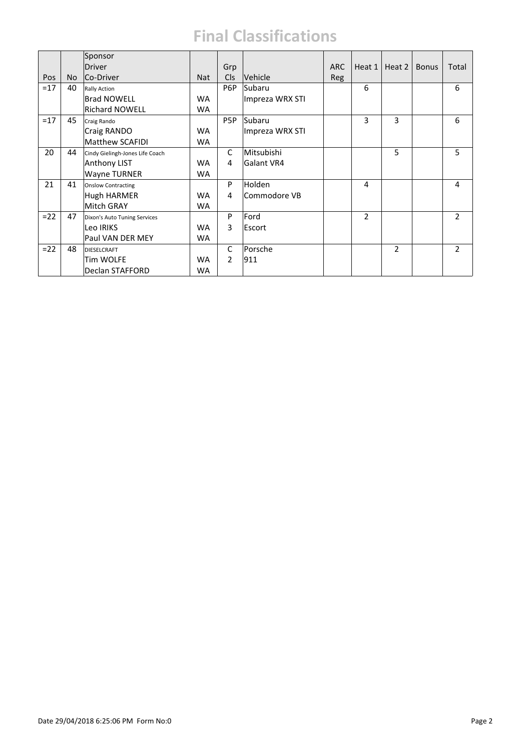|       |     | Sponsor                         |            |               |                 |            |                |                |              |                |
|-------|-----|---------------------------------|------------|---------------|-----------------|------------|----------------|----------------|--------------|----------------|
|       |     | <b>Driver</b>                   |            | Grp           |                 | <b>ARC</b> | Heat 1         | Heat 2         | <b>Bonus</b> | Total          |
| Pos   | No. | Co-Driver                       | <b>Nat</b> | <b>Cls</b>    | Vehicle         | Reg        |                |                |              |                |
| $=17$ | 40  | <b>Rally Action</b>             |            | P6P           | Subaru          |            | 6              |                |              | 6              |
|       |     | <b>Brad NOWELL</b>              | <b>WA</b>  |               | Impreza WRX STI |            |                |                |              |                |
|       |     | <b>Richard NOWELL</b>           | <b>WA</b>  |               |                 |            |                |                |              |                |
| $=17$ | 45  | Craig Rando                     |            | P5P           | Subaru          |            | 3              | 3              |              | 6              |
|       |     | Craig RANDO                     | <b>WA</b>  |               | Impreza WRX STI |            |                |                |              |                |
|       |     | <b>Matthew SCAFIDI</b>          | <b>WA</b>  |               |                 |            |                |                |              |                |
| 20    | 44  | Cindy Gielingh-Jones Life Coach |            | $\mathsf{C}$  | Mitsubishi      |            |                | 5              |              | 5              |
|       |     | Anthony LIST                    | <b>WA</b>  | 4             | Galant VR4      |            |                |                |              |                |
|       |     | Wayne TURNER                    | <b>WA</b>  |               |                 |            |                |                |              |                |
| 21    | 41  | <b>Onslow Contracting</b>       |            | P             | Holden          |            | 4              |                |              | 4              |
|       |     | Hugh HARMER                     | <b>WA</b>  | 4             | Commodore VB    |            |                |                |              |                |
|       |     | Mitch GRAY                      | <b>WA</b>  |               |                 |            |                |                |              |                |
| $=22$ | 47  | Dixon's Auto Tuning Services    |            | P             | Ford            |            | $\overline{2}$ |                |              | $\overline{2}$ |
|       |     | Leo IRIKS                       | <b>WA</b>  | 3             | Escort          |            |                |                |              |                |
|       |     | Paul VAN DER MEY                | <b>WA</b>  |               |                 |            |                |                |              |                |
| $=22$ | 48  | <b>DIESELCRAFT</b>              |            | C             | Porsche         |            |                | $\overline{2}$ |              | $\mathcal{P}$  |
|       |     | <b>Tim WOLFE</b>                | <b>WA</b>  | $\mathcal{P}$ | 911             |            |                |                |              |                |
|       |     | Declan STAFFORD                 | <b>WA</b>  |               |                 |            |                |                |              |                |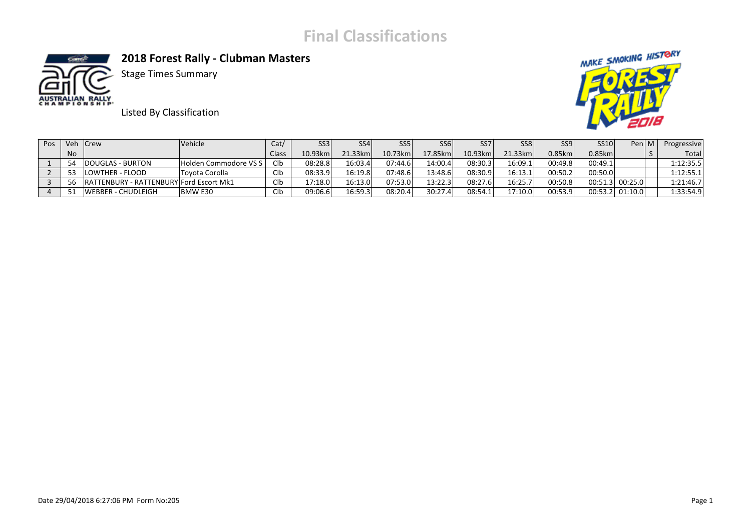

**2018 Forest Rally ‐ Clubman Masters** 



Stage Times Summary

Listed By Classification



| <b>Pos</b> | Veh Crew |                                         | <b>Vehicle</b>        | Cat/       | SS3     | SS <sub>4</sub> | SS5.    | SS <sub>6</sub> | SS <sub>7</sub> | SS8 <sup>1</sup> | SS <sub>9</sub> | SS10      | Pen M             | Progressive |
|------------|----------|-----------------------------------------|-----------------------|------------|---------|-----------------|---------|-----------------|-----------------|------------------|-----------------|-----------|-------------------|-------------|
|            | No.      |                                         |                       | Class      | 10.93km | 21.33km         | 10.73km | 17.85km         | 10.93km         | $21.33$ km       | $0.85$ km       | $0.85$ km |                   | Total       |
|            | 54       | DOUGLAS - BURTON                        | Holden Commodore VS S | Clb        | 08:28.8 | 16:03.4         | 07:44.6 | 14:00.4         | 08:30.3         | 16:09.1          | 00:49.8         | 00:49.1   |                   | 1:12:35.5   |
|            | 53       | LOWTHER - FLOOD                         | Tovota Corolla        | Clb        | 08:33.9 | 16:19.8         | 07:48.6 | 13:48.6         | 08:30.9         | 16:13.1          | 00:50.2         | 00:50.0   |                   | 1:12:55.1   |
|            | -56      | RATTENBURY - RATTENBURY Ford Escort Mk1 |                       | <b>CIb</b> | 17:18.0 | 16:13.0         | 07:53.0 | 13:22.3         | 08:27.6         | 16:25.7          | 00:50.8         |           | $00:51.3$ 00:25.0 | 1:21:46.7   |
|            | 51       | IWEBBER - CHUDLEIGH                     | BMW E30               | <b>CIb</b> | 09:06.6 | 16:59.3         | 08:20.4 | 30:27.4         | 08:54.1         | 17:10.0          | 00:53.9         |           | $00:53.2$ 01:10.0 | 1:33:54.9   |